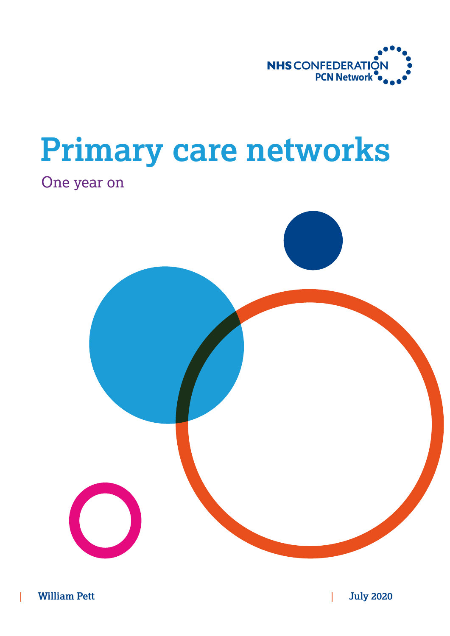

# **Primary care networks**

## One year on

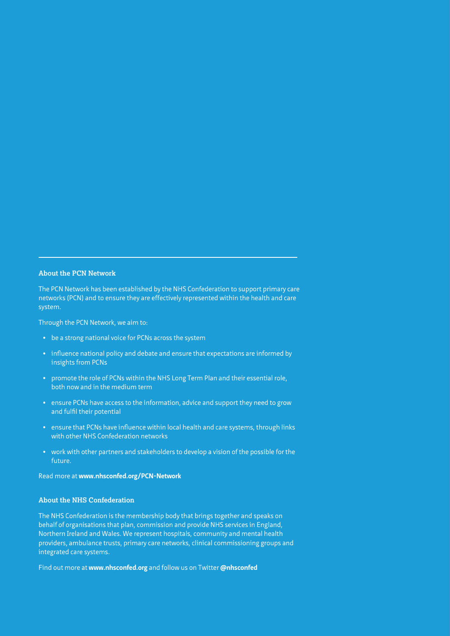#### **About the PCN Network**

The PCN Network has been established by the NHS Confederation to support primary care networks (PCN) and to ensure they are effectively represented within the health and care system.

Through the PCN Network, we aim to:

- **•** be a strong national voice for PCNs across the system
- **•** influence national policy and debate and ensure that expectations are informed by insights from PCNs
- **•** promote the role of PCNs within the NHS Long Term Plan and their essential role, both now and in the medium term
- **•** ensure PCNs have access to the information, advice and support they need to grow and fulfil their potential
- **•** ensure that PCNs have influence within local health and care systems, through links with other NHS Confederation networks
- **•** work with other partners and stakeholders to develop a vision of the possible for the future.

Read more at **[www.nhsconfed.org/PCN-Network](https://www.nhsconfed.org/PCN-Network)**

#### **About the NHS Confederation**

The NHS Confederation is the membership body that brings together and speaks on behalf of organisations that plan, commission and provide NHS services in England, Northern Ireland and Wales. We represent hospitals, community and mental health providers, ambulance trusts, primary care networks, clinical commissioning groups and integrated care systems.

Find out more at **[www.nhsconfed.org](https://www.nhsconfed.org/)** and follow us on Twitter **[@nhsconfed](https://twitter.com/nhsconfed)**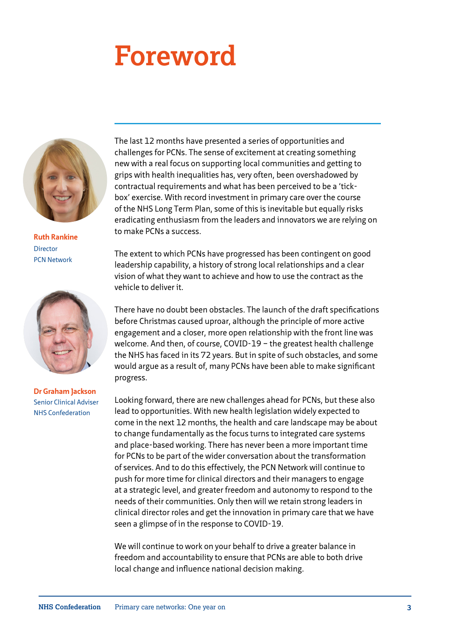# **Foreword**



**Ruth Rankine** Director PCN Network



**Dr Graham Jackson** Senior Clinical Adviser NHS Confederation

The last 12 months have presented a series of opportunities and challenges for PCNs. The sense of excitement at creating something new with a real focus on supporting local communities and getting to grips with health inequalities has, very often, been overshadowed by contractual requirements and what has been perceived to be a 'tickbox' exercise. With record investment in primary care over the course of the NHS Long Term Plan, some of this is inevitable but equally risks eradicating enthusiasm from the leaders and innovators we are relying on to make PCNs a success.

The extent to which PCNs have progressed has been contingent on good leadership capability, a history of strong local relationships and a clear vision of what they want to achieve and how to use the contract as the vehicle to deliver it.

There have no doubt been obstacles. The launch of the draft specifications before Christmas caused uproar, although the principle of more active engagement and a closer, more open relationship with the front line was welcome. And then, of course, COVID-19 – the greatest health challenge the NHS has faced in its 72 years. But in spite of such obstacles, and some would argue as a result of, many PCNs have been able to make significant progress.

Looking forward, there are new challenges ahead for PCNs, but these also lead to opportunities. With new health legislation widely expected to come in the next 12 months, the health and care landscape may be about to change fundamentally as the focus turns to integrated care systems and place-based working. There has never been a more important time for PCNs to be part of the wider conversation about the transformation of services. And to do this effectively, the PCN Network will continue to push for more time for clinical directors and their managers to engage at a strategic level, and greater freedom and autonomy to respond to the needs of their communities. Only then will we retain strong leaders in clinical director roles and get the innovation in primary care that we have seen a glimpse of in the response to COVID-19.

We will continue to work on your behalf to drive a greater balance in freedom and accountability to ensure that PCNs are able to both drive local change and influence national decision making.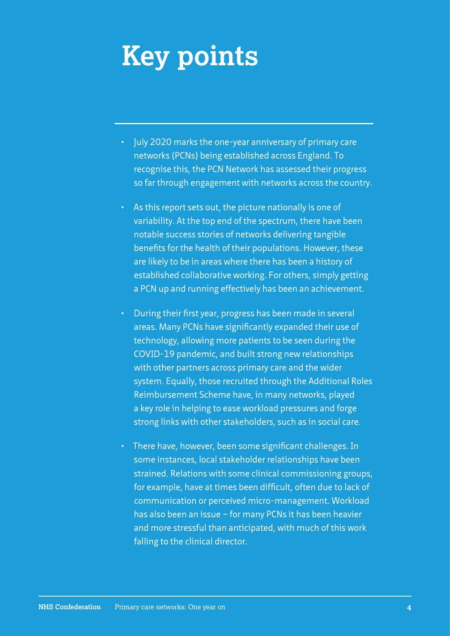# **Key points**

- July 2020 marks the one-year anniversary of primary care networks (PCNs) being established across England. To recognise this, the PCN Network has assessed their progress so far through engagement with networks across the country.
- As this report sets out, the picture nationally is one of variability. At the top end of the spectrum, there have been notable success stories of networks delivering tangible benefits for the health of their populations. However, these are likely to be in areas where there has been a history of established collaborative working. For others, simply getting a PCN up and running effectively has been an achievement.
- During their first year, progress has been made in several areas. Many PCNs have significantly expanded their use of technology, allowing more patients to be seen during the COVID-19 pandemic, and built strong new relationships with other partners across primary care and the wider system. Equally, those recruited through the Additional Roles Reimbursement Scheme have, in many networks, played a key role in helping to ease workload pressures and forge strong links with other stakeholders, such as in social care.
- There have, however, been some significant challenges. In some instances, local stakeholder relationships have been strained. Relations with some clinical commissioning groups, for example, have at times been difficult, often due to lack of communication or perceived micro-management. Workload has also been an issue – for many PCNs it has been heavier and more stressful than anticipated, with much of this work falling to the clinical director.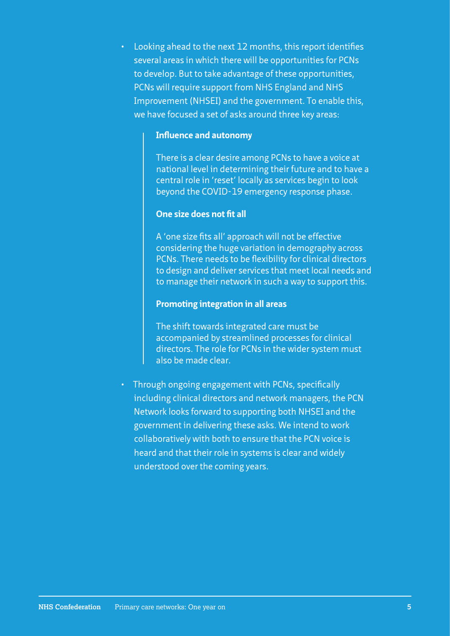• Looking ahead to the next 12 months, this report identifies several areas in which there will be opportunities for PCNs to develop. But to take advantage of these opportunities, PCNs will require support from NHS England and NHS Improvement (NHSEI) and the government. To enable this, we have focused a set of asks around three key areas:

#### **Influence and autonomy**

There is a clear desire among PCNs to have a voice at national level in determining their future and to have a central role in 'reset' locally as services begin to look beyond the COVID-19 emergency response phase.

#### **One size does not fit all**

A 'one size fits all' approach will not be effective considering the huge variation in demography across PCNs. There needs to be flexibility for clinical directors to design and deliver services that meet local needs and to manage their network in such a way to support this.

#### **Promoting integration in all areas**

The shift towards integrated care must be accompanied by streamlined processes for clinical directors. The role for PCNs in the wider system must also be made clear.

• Through ongoing engagement with PCNs, specifically including clinical directors and network managers, the PCN Network looks forward to supporting both NHSEI and the government in delivering these asks. We intend to work collaboratively with both to ensure that the PCN voice is heard and that their role in systems is clear and widely understood over the coming years.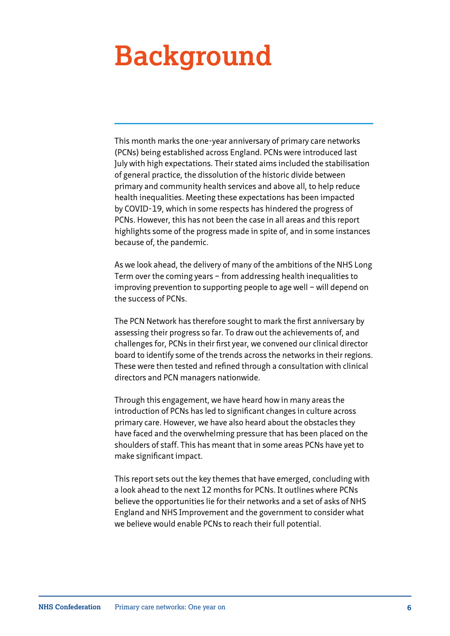# **Background**

This month marks the one-year anniversary of primary care networks (PCNs) being established across England. PCNs were introduced last July with high expectations. Their stated aims included the stabilisation of general practice, the dissolution of the historic divide between primary and community health services and above all, to help reduce health inequalities. Meeting these expectations has been impacted by COVID-19, which in some respects has hindered the progress of PCNs. However, this has not been the case in all areas and this report highlights some of the progress made in spite of, and in some instances because of, the pandemic.

As we look ahead, the delivery of many of the ambitions of the NHS Long Term over the coming years – from addressing health inequalities to improving prevention to supporting people to age well – will depend on the success of PCNs.

The PCN Network has therefore sought to mark the first anniversary by assessing their progress so far. To draw out the achievements of, and challenges for, PCNs in their first year, we convened our clinical director board to identify some of the trends across the networks in their regions. These were then tested and refined through a consultation with clinical directors and PCN managers nationwide.

Through this engagement, we have heard how in many areas the introduction of PCNs has led to significant changes in culture across primary care. However, we have also heard about the obstacles they have faced and the overwhelming pressure that has been placed on the shoulders of staff. This has meant that in some areas PCNs have yet to make significant impact.

This report sets out the key themes that have emerged, concluding with a look ahead to the next 12 months for PCNs. It outlines where PCNs believe the opportunities lie for their networks and a set of asks of NHS England and NHS Improvement and the government to consider what we believe would enable PCNs to reach their full potential.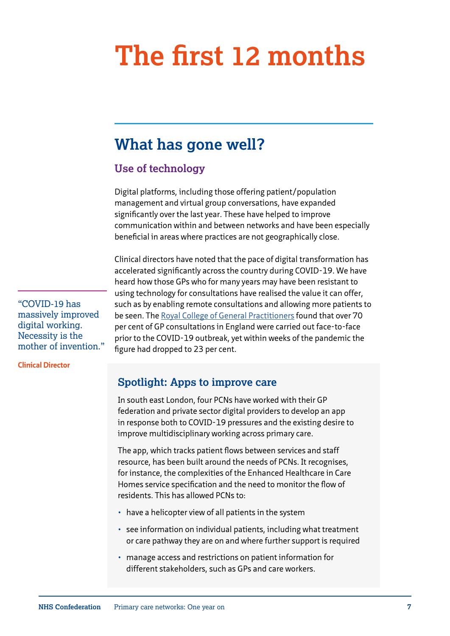# **The first 12 months**

## **What has gone well?**

### **Use of technology**

Digital platforms, including those offering patient/population management and virtual group conversations, have expanded significantly over the last year. These have helped to improve communication within and between networks and have been especially beneficial in areas where practices are not geographically close.

Clinical directors have noted that the pace of digital transformation has accelerated significantly across the country during COVID-19. We have heard how those GPs who for many years may have been resistant to using technology for consultations have realised the value it can offer, such as by enabling remote consultations and allowing more patients to be seen. The [Royal College of General Practitioners](https://www.rcgp.org.uk/policy/general-practice-post-covid.aspx) found that over 70 per cent of GP consultations in England were carried out face-to-face prior to the COVID-19 outbreak, yet within weeks of the pandemic the figure had dropped to 23 per cent.

**Spotlight: Apps to improve care** 

In south east London, four PCNs have worked with their GP federation and private sector digital providers to develop an app in response both to COVID-19 pressures and the existing desire to improve multidisciplinary working across primary care.

The app, which tracks patient flows between services and staff resource, has been built around the needs of PCNs. It recognises, for instance, the complexities of the Enhanced Healthcare in Care Homes service specification and the need to monitor the flow of residents. This has allowed PCNs to:

- have a helicopter view of all patients in the system
- see information on individual patients, including what treatment or care pathway they are on and where further support is required
- manage access and restrictions on patient information for different stakeholders, such as GPs and care workers.

"COVID-19 has massively improved digital working. Necessity is the mother of invention."

**Clinical Director**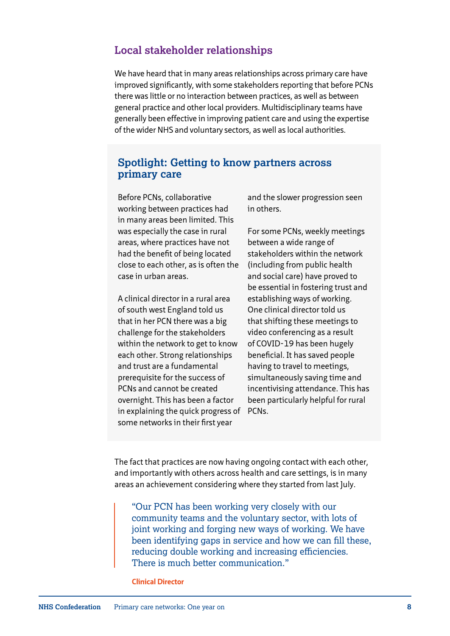### **Local stakeholder relationships**

We have heard that in many areas relationships across primary care have improved significantly, with some stakeholders reporting that before PCNs there was little or no interaction between practices, as well as between general practice and other local providers. Multidisciplinary teams have generally been effective in improving patient care and using the expertise of the wider NHS and voluntary sectors, as well as local authorities.

#### **Spotlight: Getting to know partners across primary care**

Before PCNs, collaborative working between practices had in many areas been limited. This was especially the case in rural areas, where practices have not had the benefit of being located close to each other, as is often the case in urban areas.

A clinical director in a rural area of south west England told us that in her PCN there was a big challenge for the stakeholders within the network to get to know each other. Strong relationships and trust are a fundamental prerequisite for the success of PCNs and cannot be created overnight. This has been a factor in explaining the quick progress of PCNs. some networks in their first year

and the slower progression seen in others.

For some PCNs, weekly meetings between a wide range of stakeholders within the network (including from public health and social care) have proved to be essential in fostering trust and establishing ways of working. One clinical director told us that shifting these meetings to video conferencing as a result of COVID-19 has been hugely beneficial. It has saved people having to travel to meetings, simultaneously saving time and incentivising attendance. This has been particularly helpful for rural

The fact that practices are now having ongoing contact with each other, and importantly with others across health and care settings, is in many areas an achievement considering where they started from last July.

"Our PCN has been working very closely with our community teams and the voluntary sector, with lots of joint working and forging new ways of working. We have been identifying gaps in service and how we can fill these, reducing double working and increasing efficiencies. There is much better communication."

**Clinical Director**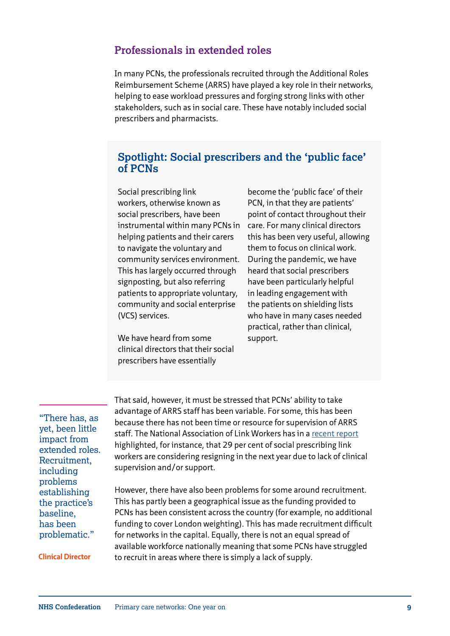#### **Professionals in extended roles**

In many PCNs, the professionals recruited through the Additional Roles Reimbursement Scheme (ARRS) have played a key role in their networks, helping to ease workload pressures and forging strong links with other stakeholders, such as in social care. These have notably included social prescribers and pharmacists.

#### **Spotlight: Social prescribers and the 'public face' of PCNs**

Social prescribing link workers, otherwise known as social prescribers, have been instrumental within many PCNs in helping patients and their carers to navigate the voluntary and community services environment. This has largely occurred through signposting, but also referring patients to appropriate voluntary, community and social enterprise (VCS) services.

We have heard from some clinical directors that their social prescribers have essentially

become the 'public face' of their PCN, in that they are patients' point of contact throughout their care. For many clinical directors this has been very useful, allowing them to focus on clinical work. During the pandemic, we have heard that social prescribers have been particularly helpful in leading engagement with the patients on shielding lists who have in many cases needed practical, rather than clinical, support.

"There has, as yet, been little impact from extended roles. Recruitment, including problems establishing the practice's baseline, has been problematic."

**Clinical Director**

That said, however, it must be stressed that PCNs' ability to take advantage of ARRS staff has been variable. For some, this has been because there has not been time or resource for supervision of ARRS staff. The National Association of Link Workers has in a [recent report](https://www.nalw.org.uk/29-of-social-prescribing-link-workers-plan-to-leave-in-the-next-year-due-to-lack-of-clinical-supervision-and-support-according-to-nalw-survey/) highlighted, for instance, that 29 per cent of social prescribing link workers are considering resigning in the next year due to lack of clinical supervision and/or support.

However, there have also been problems for some around recruitment. This has partly been a geographical issue as the funding provided to PCNs has been consistent across the country (for example, no additional funding to cover London weighting). This has made recruitment difficult for networks in the capital. Equally, there is not an equal spread of available workforce nationally meaning that some PCNs have struggled to recruit in areas where there is simply a lack of supply.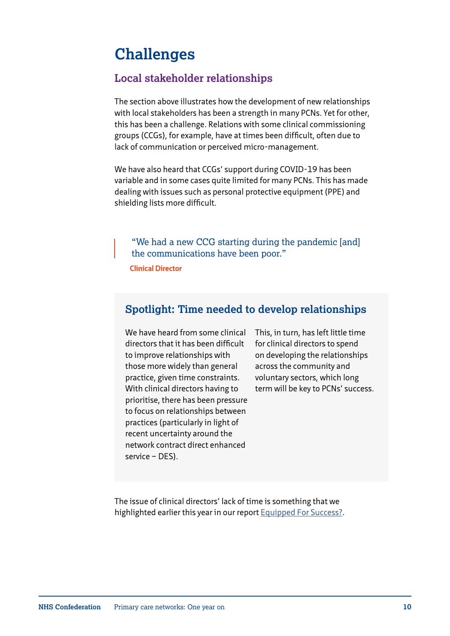## **Challenges**

### **Local stakeholder relationships**

The section above illustrates how the development of new relationships with local stakeholders has been a strength in many PCNs. Yet for other, this has been a challenge. Relations with some clinical commissioning groups (CCGs), for example, have at times been difficult, often due to lack of communication or perceived micro-management.

We have also heard that CCGs' support during COVID-19 has been variable and in some cases quite limited for many PCNs. This has made dealing with issues such as personal protective equipment (PPE) and shielding lists more difficult.

"We had a new CCG starting during the pandemic [and] the communications have been poor."

**Clinical Director**

### **Spotlight: Time needed to develop relationships**

We have heard from some clinical directors that it has been difficult to improve relationships with those more widely than general practice, given time constraints. With clinical directors having to prioritise, there has been pressure to focus on relationships between practices (particularly in light of recent uncertainty around the network contract direct enhanced service – DES).

This, in turn, has left little time for clinical directors to spend on developing the relationships across the community and voluntary sectors, which long term will be key to PCNs' success.

The issue of clinical directors' lack of time is something that we highlighted earlier this year in our report [Equipped For Success?](https://www.nhsconfed.org/resources/2020/01/pcns-equipped-for-success).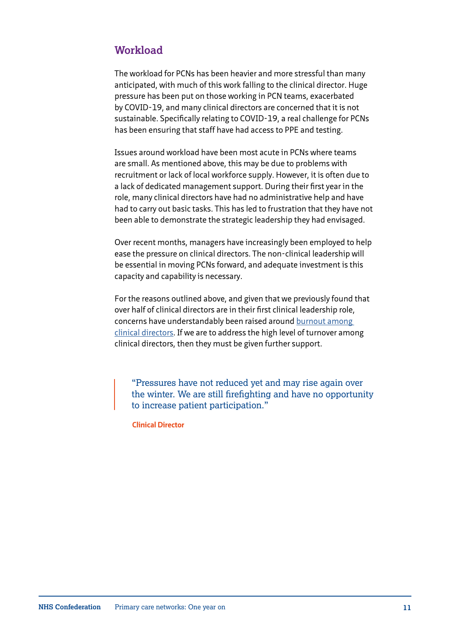### **Workload**

The workload for PCNs has been heavier and more stressful than many anticipated, with much of this work falling to the clinical director. Huge pressure has been put on those working in PCN teams, exacerbated by COVID-19, and many clinical directors are concerned that it is not sustainable. Specifically relating to COVID-19, a real challenge for PCNs has been ensuring that staff have had access to PPE and testing.

Issues around workload have been most acute in PCNs where teams are small. As mentioned above, this may be due to problems with recruitment or lack of local workforce supply. However, it is often due to a lack of dedicated management support. During their first year in the role, many clinical directors have had no administrative help and have had to carry out basic tasks. This has led to frustration that they have not been able to demonstrate the strategic leadership they had envisaged.

Over recent months, managers have increasingly been employed to help ease the pressure on clinical directors. The non-clinical leadership will be essential in moving PCNs forward, and adequate investment is this capacity and capability is necessary.

For the reasons outlined above, and given that we previously found that over half of clinical directors are in their first clinical leadership role, concerns have understandably been raised around [burnout among](https://www.gponline.com/gps-leading-primary-care-networks-need-support-avoid-burnout/article/1660023)  [clinical directors](https://www.gponline.com/gps-leading-primary-care-networks-need-support-avoid-burnout/article/1660023). If we are to address the high level of turnover among clinical directors, then they must be given further support.

"Pressures have not reduced yet and may rise again over the winter. We are still firefighting and have no opportunity to increase patient participation."

**Clinical Director**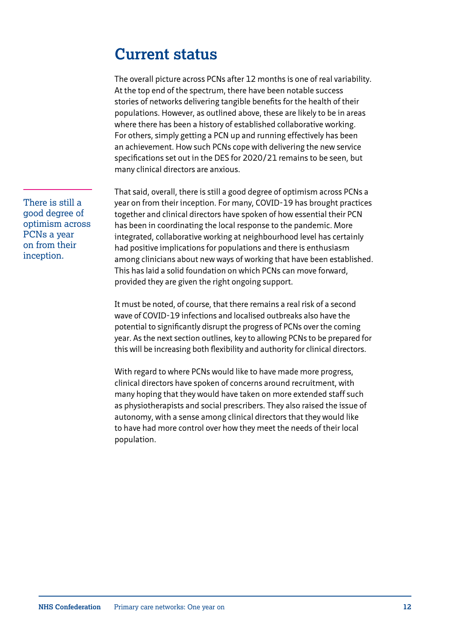## **Current status**

The overall picture across PCNs after 12 months is one of real variability. At the top end of the spectrum, there have been notable success stories of networks delivering tangible benefits for the health of their populations. However, as outlined above, these are likely to be in areas where there has been a history of established collaborative working. For others, simply getting a PCN up and running effectively has been an achievement. How such PCNs cope with delivering the new service specifications set out in the DES for 2020/21 remains to be seen, but many clinical directors are anxious.

That said, overall, there is still a good degree of optimism across PCNs a year on from their inception. For many, COVID-19 has brought practices together and clinical directors have spoken of how essential their PCN has been in coordinating the local response to the pandemic. More integrated, collaborative working at neighbourhood level has certainly had positive implications for populations and there is enthusiasm among clinicians about new ways of working that have been established. This has laid a solid foundation on which PCNs can move forward, provided they are given the right ongoing support.

It must be noted, of course, that there remains a real risk of a second wave of COVID-19 infections and localised outbreaks also have the potential to significantly disrupt the progress of PCNs over the coming year. As the next section outlines, key to allowing PCNs to be prepared for this will be increasing both flexibility and authority for clinical directors.

With regard to where PCNs would like to have made more progress, clinical directors have spoken of concerns around recruitment, with many hoping that they would have taken on more extended staff such as physiotherapists and social prescribers. They also raised the issue of autonomy, with a sense among clinical directors that they would like to have had more control over how they meet the needs of their local population.

There is still a good degree of optimism across PCNs a year on from their inception.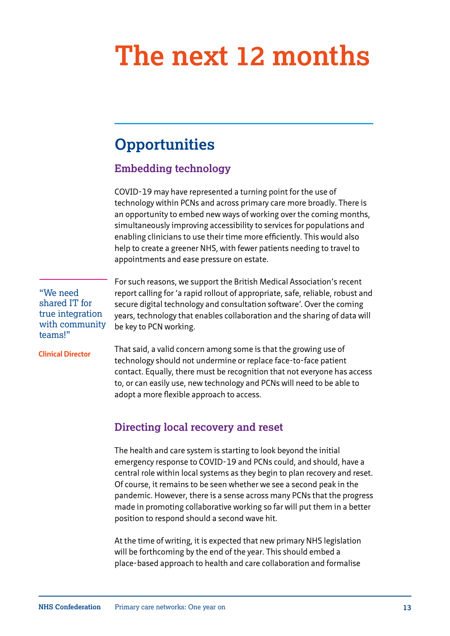# **The next 12 months**

## **Opportunities**

### **Embedding technology**

COVID-19 may have represented a turning point for the use of technology within PCNs and across primary care more broadly. There is an opportunity to embed new ways of working over the coming months, simultaneously improving accessibility to services for populations and enabling clinicians to use their time more efficiently. This would also help to create a greener NHS, with fewer patients needing to travel to appointments and ease pressure on estate.

"We need shared IT for true integration with community teams!"

**Clinical Director**

For such reasons, we support the British Medical Association's recent report calling for 'a rapid rollout of appropriate, safe, reliable, robust and secure digital technology and consultation software'. Over the coming years, technology that enables collaboration and the sharing of data will be key to PCN working.

That said, a valid concern among some is that the growing use of technology should not undermine or replace face-to-face patient contact. Equally, there must be recognition that not everyone has access to, or can easily use, new technology and PCNs will need to be able to adopt a more flexible approach to access.

### **Directing local recovery and reset**

The health and care system is starting to look beyond the initial emergency response to COVID-19 and PCNs could, and should, have a central role within local systems as they begin to plan recovery and reset. Of course, it remains to be seen whether we see a second peak in the pandemic. However, there is a sense across many PCNs that the progress made in promoting collaborative working so far will put them in a better position to respond should a second wave hit.

At the time of writing, it is expected that new primary NHS legislation will be forthcoming by the end of the year. This should embed a place-based approach to health and care collaboration and formalise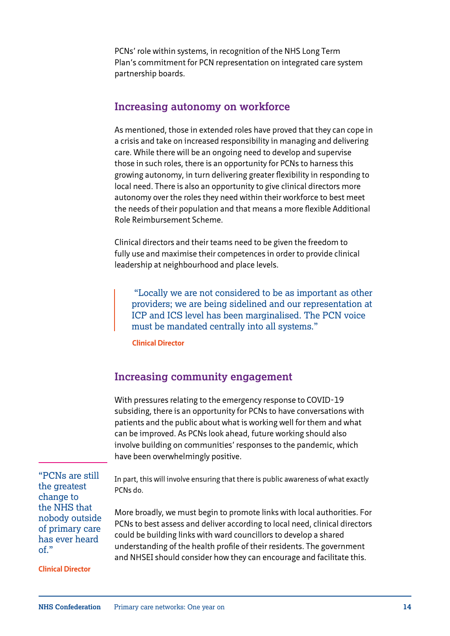PCNs' role within systems, in recognition of the NHS Long Term Plan's commitment for PCN representation on integrated care system partnership boards.

#### **Increasing autonomy on workforce**

As mentioned, those in extended roles have proved that they can cope in a crisis and take on increased responsibility in managing and delivering care. While there will be an ongoing need to develop and supervise those in such roles, there is an opportunity for PCNs to harness this growing autonomy, in turn delivering greater flexibility in responding to local need. There is also an opportunity to give clinical directors more autonomy over the roles they need within their workforce to best meet the needs of their population and that means a more flexible Additional Role Reimbursement Scheme.

Clinical directors and their teams need to be given the freedom to fully use and maximise their competences in order to provide clinical leadership at neighbourhood and place levels.

 "Locally we are not considered to be as important as other providers; we are being sidelined and our representation at ICP and ICS level has been marginalised. The PCN voice must be mandated centrally into all systems."

**Clinical Director**

#### **Increasing community engagement**

With pressures relating to the emergency response to COVID-19 subsiding, there is an opportunity for PCNs to have conversations with patients and the public about what is working well for them and what can be improved. As PCNs look ahead, future working should also involve building on communities' responses to the pandemic, which have been overwhelmingly positive.

"PCNs are still the greatest change to the NHS that nobody outside of primary care has ever heard of."

**Clinical Director**

In part, this will involve ensuring that there is public awareness of what exactly PCNs do.

More broadly, we must begin to promote links with local authorities. For PCNs to best assess and deliver according to local need, clinical directors could be building links with ward councillors to develop a shared understanding of the health profile of their residents. The government and NHSEI should consider how they can encourage and facilitate this.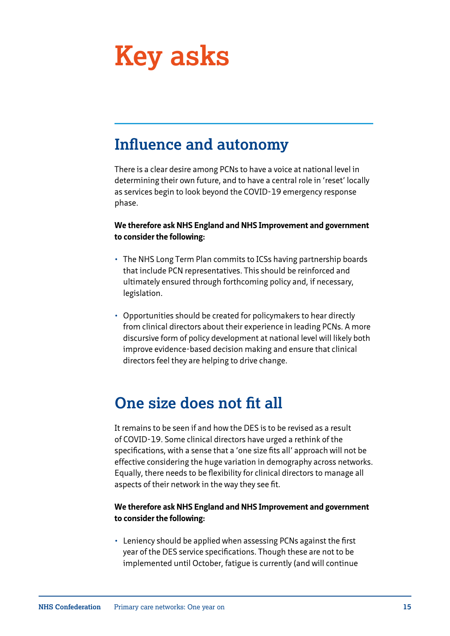# **Key asks**

## **Influence and autonomy**

There is a clear desire among PCNs to have a voice at national level in determining their own future, and to have a central role in 'reset' locally as services begin to look beyond the COVID-19 emergency response phase.

**We therefore ask NHS England and NHS Improvement and government to consider the following:** 

- The NHS Long Term Plan commits to ICSs having partnership boards that include PCN representatives. This should be reinforced and ultimately ensured through forthcoming policy and, if necessary, legislation.
- Opportunities should be created for policymakers to hear directly from clinical directors about their experience in leading PCNs. A more discursive form of policy development at national level will likely both improve evidence-based decision making and ensure that clinical directors feel they are helping to drive change.

## **One size does not fit all**

It remains to be seen if and how the DES is to be revised as a result of COVID-19. Some clinical directors have urged a rethink of the specifications, with a sense that a 'one size fits all' approach will not be effective considering the huge variation in demography across networks. Equally, there needs to be flexibility for clinical directors to manage all aspects of their network in the way they see fit.

#### **We therefore ask NHS England and NHS Improvement and government to consider the following:**

• Leniency should be applied when assessing PCNs against the first year of the DES service specifications. Though these are not to be implemented until October, fatigue is currently (and will continue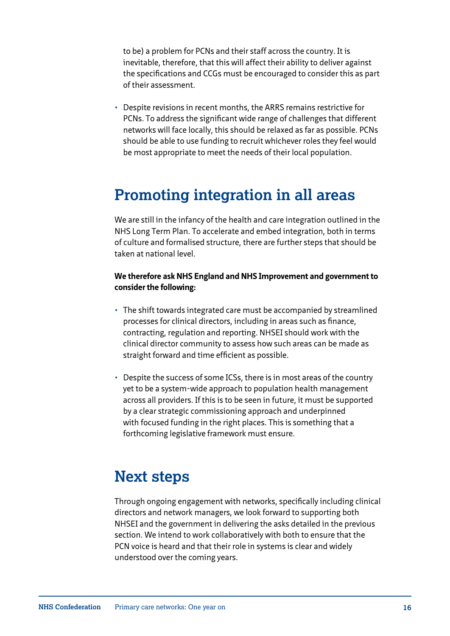to be) a problem for PCNs and their staff across the country. It is inevitable, therefore, that this will affect their ability to deliver against the specifications and CCGs must be encouraged to consider this as part of their assessment.

• Despite revisions in recent months, the ARRS remains restrictive for PCNs. To address the significant wide range of challenges that different networks will face locally, this should be relaxed as far as possible. PCNs should be able to use funding to recruit whichever roles they feel would be most appropriate to meet the needs of their local population.

## **Promoting integration in all areas**

We are still in the infancy of the health and care integration outlined in the NHS Long Term Plan. To accelerate and embed integration, both in terms of culture and formalised structure, there are further steps that should be taken at national level.

#### **We therefore ask NHS England and NHS Improvement and government to consider the following:**

- The shift towards integrated care must be accompanied by streamlined processes for clinical directors, including in areas such as finance, contracting, regulation and reporting. NHSEI should work with the clinical director community to assess how such areas can be made as straight forward and time efficient as possible.
- Despite the success of some ICSs, there is in most areas of the country yet to be a system-wide approach to population health management across all providers. If this is to be seen in future, it must be supported by a clear strategic commissioning approach and underpinned with focused funding in the right places. This is something that a forthcoming legislative framework must ensure.

## **Next steps**

Through ongoing engagement with networks, specifically including clinical directors and network managers, we look forward to supporting both NHSEI and the government in delivering the asks detailed in the previous section. We intend to work collaboratively with both to ensure that the PCN voice is heard and that their role in systems is clear and widely understood over the coming years.